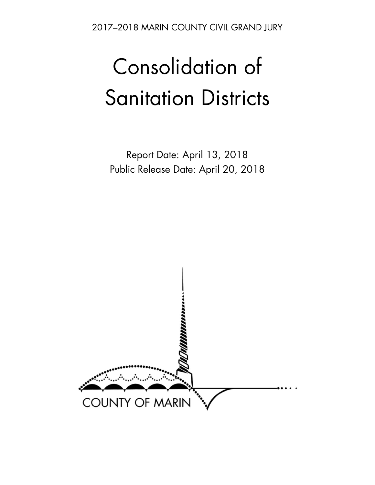2017–2018 MARIN COUNTY CIVIL GRAND JURY

# Consolidation of Sanitation Districts

Report Date: April 13, 2018 Public Release Date: April 20, 2018

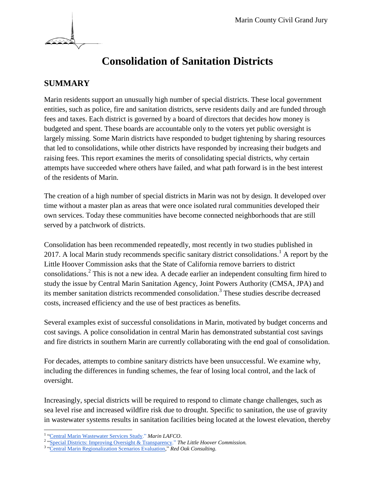

# **Consolidation of Sanitation Districts**

# **SUMMARY**

Marin residents support an unusually high number of special districts. These local government entities, such as police, fire and sanitation districts, serve residents daily and are funded through fees and taxes. Each district is governed by a board of directors that decides how money is budgeted and spent. These boards are accountable only to the voters yet public oversight is largely missing. Some Marin districts have responded to budget tightening by sharing resources that led to consolidations, while other districts have responded by increasing their budgets and raising fees. This report examines the merits of consolidating special districts, why certain attempts have succeeded where others have failed, and what path forward is in the best interest of the residents of Marin.

The creation of a high number of special districts in Marin was not by design. It developed over time without a master plan as areas that were once isolated rural communities developed their own services. Today these communities have become connected neighborhoods that are still served by a patchwork of districts.

Consolidation has been recommended repeatedly, most recently in two studies published in 2017. A local Marin study recommends specific sanitary district consolidations.<sup>1</sup> A report by the Little Hoover Commission asks that the State of California remove barriers to district consolidations.<sup>2</sup> This is not a new idea. A decade earlier an independent consulting firm hired to study the issue by Central Marin Sanitation Agency, Joint Powers Authority (CMSA, JPA) and its member sanitation districts recommended consolidation. 3 These studies describe decreased costs, increased efficiency and the use of best practices as benefits.

Several examples exist of successful consolidations in Marin, motivated by budget concerns and cost savings. A police consolidation in central Marin has demonstrated substantial cost savings and fire districts in southern Marin are currently collaborating with the end goal of consolidation.

For decades, attempts to combine sanitary districts have been unsuccessful. We examine why, including the differences in funding schemes, the fear of losing local control, and the lack of oversight.

Increasingly, special districts will be required to respond to climate change challenges, such as sea level rise and increased wildfire risk due to drought. Specific to sanitation, the use of gravity in wastewater systems results in sanitation facilities being located at the lowest elevation, thereby

 <sup>1</sup> ["Central Marin Wastewater Services Study."](http://marinlafco.com/DocumentCenter/Home/View/1314) [Marin LAFCO](http://marinlafco.com/DocumentCenter/Home/View/1314).

<sup>&</sup>lt;sup>2</sup> ["Special Districts: Improving Oversight & Transparency."](https://calafco.org/sites/default/files/documents/LHC%20Final%20Report%20on%20Special%20Distircts%20and%20LAFCO%20August%202017.pdf) *The Little Hoover Commission*.<br><sup>3</sup> ["Central](http://rvsd.org/DocumentCenter/Home/View/106) Marin [Regionalization Scenarios Evaluation,](http://rvsd.org/DocumentCenter/Home/View/106)" *Red Oak Consulting*.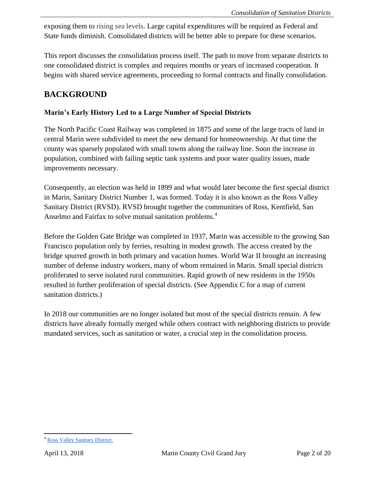exposing them to rising sea levels. Large capital expenditures will be required as Federal and State funds diminish. Consolidated districts will be better able to prepare for these scenarios.

This report discusses the consolidation process itself. The path to move from separate districts to one consolidated district is complex and requires months or years of increased cooperation. It begins with shared service agreements, proceeding to formal contracts and finally consolidation.

# **BACKGROUND**

#### **Marin's Early History Led to a Large Number of Special Districts**

The North Pacific Coast Railway was completed in 1875 and some of the large tracts of land in central Marin were subdivided to meet the new demand for homeownership. At that time the county was sparsely populated with small towns along the railway line. Soon the increase in population, combined with failing septic tank systems and poor water quality issues, made improvements necessary.

Consequently, an election was held in 1899 and what would later become the first special district in Marin, Sanitary District Number 1, was formed. Today it is also known as the Ross Valley Sanitary District (RVSD). RVSD brought together the communities of Ross, Kentfield, San Anselmo and Fairfax to solve mutual sanitation problems.<sup>4</sup>

Before the Golden Gate Bridge was completed in 1937, Marin was accessible to the growing San Francisco population only by ferries, resulting in modest growth. The access created by the bridge spurred growth in both primary and vacation homes. World War II brought an increasing number of defense industry workers, many of whom remained in Marin. Small special districts proliferated to serve isolated rural communities. Rapid growth of new residents in the 1950s resulted in further proliferation of special districts. (See Appendix C for a map of current sanitation districts.)

In 2018 our communities are no longer isolated but most of the special districts remain. A few districts have already formally merged while others contract with neighboring districts to provide mandated services, such as sanitation or water, a crucial step in the consolidation process.

<sup>4</sup> [Ross Valley Sanitary District.](http://www.rvsd.org/150/History)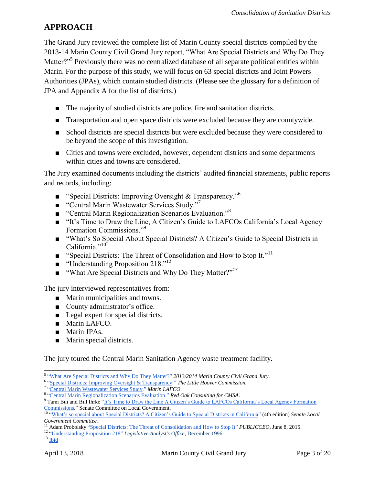# **APPROACH**

The Grand Jury reviewed the complete list of Marin County special districts compiled by the 2013-14 Marin County Civil Grand Jury report, "What Are Special Districts and Why Do They Matter?"<sup>5</sup> Previously there was no centralized database of all separate political entities within Marin. For the purpose of this study, we will focus on 63 special districts and Joint Powers Authorities (JPAs), which contain studied districts. (Please see the glossary for a definition of JPA and Appendix A for the list of districts.)

- The majority of studied districts are police, fire and sanitation districts.
- Transportation and open space districts were excluded because they are countywide.
- School districts are special districts but were excluded because they were considered to be beyond the scope of this investigation.
- Cities and towns were excluded, however, dependent districts and some departments within cities and towns are considered.

The Jury examined documents including the districts' audited financial statements, public reports and records, including:

- **Special Districts: Improving Oversight & Transparency.**<sup>56</sup>
- $\blacksquare$  "Central Marin Wastewater Services Study."
- "Central Marin Regionalization Scenarios Evaluation."<sup>8</sup>
- "It's Time to Draw the Line, A Citizen's Guide to LAFCOs California's Local Agency Formation Commissions."<sup>9</sup>
- "What's So Special About Special Districts? A Citizen's Guide to Special Districts in California." $^{10}$
- "Special Districts: The Threat of Consolidation and How to Stop It."<sup>11</sup>
- **■** "Understanding Proposition 218."<sup>12</sup>
- *"What Are Special Districts and Why Do They Matter?"<sup>13</sup>*

The jury interviewed representatives from:

- Marin municipalities and towns.
- County administrator's office.
- Legal expert for special districts.
- Marin LAFCO.
- Marin JPAs.
- Marin special districts.

The jury toured the Central Marin Sanitation Agency waste treatment facility.

 $13$  [Ibid](https://www.marincounty.org/~/media/files/departments/gj/reports-responses/2013/spd_master_list_report.pdf)

 5 ["What Are Special Districts and Why Do They Matter?"](https://www.marincounty.org/~/media/files/departments/gj/reports-responses/2013/spd_master_list_report.pdf) *[2013/2014 Marin County Civil Grand Jury.](https://www.marincounty.org/~/media/files/departments/gj/reports-responses/2013/spd_master_list_report.pdf)*

<sup>6</sup> ["Special Districts: Improving Oversight & Transparency."](https://calafco.org/sites/default/files/documents/LHC%20Final%20Report%20on%20Special%20Distircts%20and%20LAFCO%20August%202017.pdf) *[The Little Hoover Commission.](https://calafco.org/sites/default/files/documents/LHC%20Final%20Report%20on%20Special%20Distircts%20and%20LAFCO%20August%202017.pdf)*

<sup>7</sup> ["Central Marin Wastewater Services Study."](http://www.marinlafco.org/254/Central-Marin-Wastewater-Study) *[Marin LAFCO](http://www.marinlafco.org/254/Central-Marin-Wastewater-Study)*.

<sup>8</sup> ["Central Marin Regionalization Scenarios Evaluation."](http://rvsd.org/DocumentCenter/Home/View/106) *[Red Oak Consulting for CMSA.](http://rvsd.org/DocumentCenter/Home/View/106)*

<sup>&</sup>lt;sup>9</sup> Tami Bui and Bill Ihrke "It's Time to Draw the Line A Citizen's Guide to LAFCOs California's Local Agency Formation [Commissions.](https://calafco.org/sites/default/files/resources/TimetoDrawLine_03.pdf)" Senate Committee on Local Government.

<sup>10</sup> ["What's so special about Special Districts? A Citizen's Guide to Special Districts in California"](https://calafco.org/sites/default/files/resources/Whats_So_Special.pdf) (4th edition) *Senate Local Government Committee.*

<sup>&</sup>lt;sup>11</sup> Adam Probolsky ["Special Districts: The Threat of Consolidation and How to Stop It"](http://www.publicceo.com/2015/06/special-districts-the-threat-of-consolidation-and-how-to-stop-it/) *PUBLICCEO*, June 8, 2015.

<sup>&</sup>lt;sup>12</sup> ["Understanding Proposition 218"](http://www.lao.ca.gov/1996/120196_prop_218/understanding_prop218_1296.html) *Legislative Analyst's Office*, December 1996.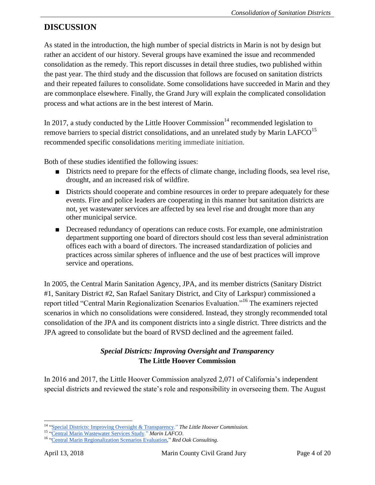# **DISCUSSION**

As stated in the introduction, the high number of special districts in Marin is not by design but rather an accident of our history. Several groups have examined the issue and recommended consolidation as the remedy. This report discusses in detail three studies, two published within the past year. The third study and the discussion that follows are focused on sanitation districts and their repeated failures to consolidate. Some consolidations have succeeded in Marin and they are commonplace elsewhere. Finally, the Grand Jury will explain the complicated consolidation process and what actions are in the best interest of Marin.

In 2017, a study conducted by the Little Hoover Commission<sup>14</sup> recommended legislation to remove barriers to special district consolidations, and an unrelated study by Marin LAFCO<sup>15</sup> recommended specific consolidations meriting immediate initiation.

Both of these studies identified the following issues:

- Districts need to prepare for the effects of climate change, including floods, sea level rise, drought, and an increased risk of wildfire.
- Districts should cooperate and combine resources in order to prepare adequately for these events. Fire and police leaders are cooperating in this manner but sanitation districts are not, yet wastewater services are affected by sea level rise and drought more than any other municipal service.
- Decreased redundancy of operations can reduce costs. For example, one administration department supporting one board of directors should cost less than several administration offices each with a board of directors. The increased standardization of policies and practices across similar spheres of influence and the use of best practices will improve service and operations.

In 2005, the Central Marin Sanitation Agency, JPA, and its member districts (Sanitary District #1, Sanitary District #2, San Rafael Sanitary District, and City of Larkspur) commissioned a report titled "Central Marin Regionalization Scenarios Evaluation."<sup>16</sup> The examiners rejected scenarios in which no consolidations were considered. Instead, they strongly recommended total consolidation of the JPA and its component districts into a single district. Three districts and the JPA agreed to consolidate but the board of RVSD declined and the agreement failed.

# *Special Districts: Improving Oversight and Transparency* **The Little Hoover Commission**

In 2016 and 2017, the Little Hoover Commission analyzed 2,071 of California's independent special districts and reviewed the state's role and responsibility in overseeing them. The August

 <sup>14</sup> ["Special Districts: Improving Oversight & Transparency."](https://calafco.org/sites/default/files/documents/LHC%20Final%20Report%20on%20Special%20Distircts%20and%20LAFCO%20August%202017.pdf) *[The Little Hoover Commission.](https://calafco.org/sites/default/files/documents/LHC%20Final%20Report%20on%20Special%20Distircts%20and%20LAFCO%20August%202017.pdf)*

<sup>15</sup> ["Central Marin Wastewater Services Study."](http://www.marinlafco.org/254/Central-Marin-Wastewater-Study) *[Marin LAFCO](http://www.marinlafco.org/254/Central-Marin-Wastewater-Study)*.

<sup>16</sup> ["Central](http://rvsd.org/DocumentCenter/Home/View/106) [Marin Regionalization Scenarios Evaluation,](http://rvsd.org/DocumentCenter/Home/View/106)" *Red Oak Consulting.*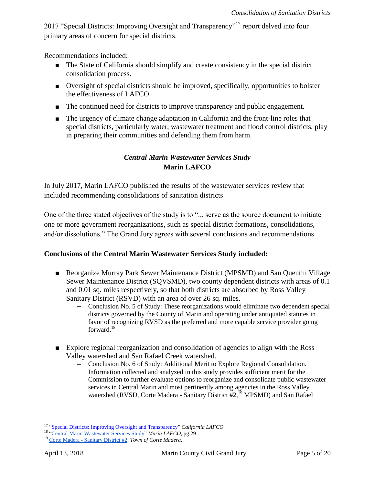2017 "Special Districts: Improving Oversight and Transparency"<sup>17</sup> report delved into four primary areas of concern for special districts.

Recommendations included:

- The State of California should simplify and create consistency in the special district consolidation process.
- Oversight of special districts should be improved, specifically, opportunities to bolster the effectiveness of LAFCO.
- The continued need for districts to improve transparency and public engagement.
- The urgency of climate change adaptation in California and the front-line roles that special districts, particularly water, wastewater treatment and flood control districts, play in preparing their communities and defending them from harm.

## *Central Marin Wastewater Services Study* **Marin LAFCO**

In July 2017, Marin LAFCO published the results of the wastewater services review that included recommending consolidations of sanitation districts

One of the three stated objectives of the study is to "... serve as the source document to initiate one or more government reorganizations, such as special district formations, consolidations, and/or dissolutions." The Grand Jury agrees with several conclusions and recommendations.

#### **Conclusions of the Central Marin Wastewater Services Study included:**

- Reorganize Murray Park Sewer Maintenance District (MPSMD) and San Quentin Village Sewer Maintenance District (SQVSMD), two county dependent districts with areas of 0.1 and 0.01 sq. miles respectively, so that both districts are absorbed by Ross Valley Sanitary District (RSVD) with an area of over 26 sq. miles.
	- **–** Conclusion No. 5 of Study: These reorganizations would eliminate two dependent special districts governed by the County of Marin and operating under antiquated statutes in favor of recognizing RVSD as the preferred and more capable service provider going forward.<sup>18</sup>
- Explore regional reorganization and consolidation of agencies to align with the Ross Valley watershed and San Rafael Creek watershed.
	- **–** Conclusion No. 6 of Study: Additional Merit to Explore Regional Consolidation. Information collected and analyzed in this study provides sufficient merit for the Commission to further evaluate options to reorganize and consolidate public wastewater services in Central Marin and most pertinently among agencies in the Ross Valley watershed (RVSD, Corte Madera - Sanitary District #2,<sup>19</sup> MPSMD) and San Rafael

 <sup>17</sup> ["Special Districts: Improving Oversight and Transparency"](https://calafco.org/sites/default/files/documents/LHC%20Final%20Report%20on%20Special%20Distircts%20and%20LAFCO%20August%202017.pdf) *California LAFCO*

<sup>18</sup> ["Central Marin Wastewater Services Study"](http://marinlafco.com/DocumentCenter/Home/View/1314) *Marin LAFCO*, pg.29

<sup>19</sup> Corte Madera - [Sanitary District #2.](http://www.ci.corte-madera.ca.us/391/Sanitary-District-No-2) *Town of Corte Madera*.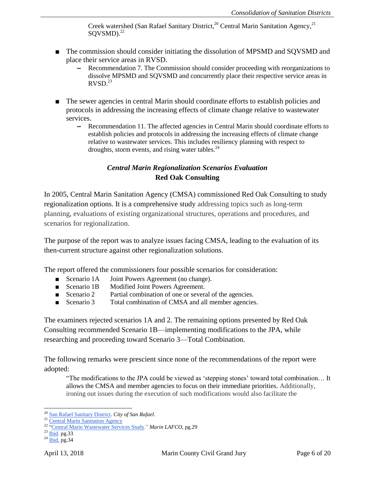Creek watershed (San Rafael Sanitary District, $2^0$  Central Marin Sanitation Agency, $2^1$ SQVSMD).<sup>22</sup>

- The commission should consider initiating the dissolution of MPSMD and SOVSMD and place their service areas in RVSD.
	- **–** Recommendation 7. The Commission should consider proceeding with reorganizations to dissolve MPSMD and SQVSMD and concurrently place their respective service areas in  $RVSD.<sup>23</sup>$
- The sewer agencies in central Marin should coordinate efforts to establish policies and protocols in addressing the increasing effects of climate change relative to wastewater services.
	- **–** Recommendation 11. The affected agencies in Central Marin should coordinate efforts to establish policies and protocols in addressing the increasing effects of climate change relative to wastewater services. This includes resiliency planning with respect to droughts, storm events, and rising water tables.<sup>24</sup>

#### *Central Marin Regionalization Scenarios Evaluation* **Red Oak Consulting**

In 2005, Central Marin Sanitation Agency (CMSA) commissioned Red Oak Consulting to study regionalization options. It is a comprehensive study addressing topics such as long-term planning, evaluations of existing organizational structures, operations and procedures, and scenarios for regionalization.

The purpose of the report was to analyze issues facing CMSA, leading to the evaluation of its then-current structure against other regionalization solutions.

The report offered the commissioners four possible scenarios for consideration:

- Scenario 1A Joint Powers Agreement (no change).
- Scenario 1B Modified Joint Powers Agreement.
- Scenario 2 Partial combination of one or several of the agencies.
- Scenario 3 Total combination of CMSA and all member agencies.

The examiners rejected scenarios 1A and 2. The remaining options presented by Red Oak Consulting recommended Scenario 1B—implementing modifications to the JPA, while researching and proceeding toward Scenario 3—Total Combination.

The following remarks were prescient since none of the recommendations of the report were adopted:

"The modifications to the JPA could be viewed as 'stepping stones' toward total combination… It allows the CMSA and member agencies to focus on their immediate priorities. Additionally, ironing out issues during the execution of such modifications would also facilitate the

 $\overline{a}$ <sup>20</sup> [San Rafael Sanitary District](https://www.cityofsanrafael.org/departments/sanitation-district/)*. City of San Rafael*.

<sup>&</sup>lt;sup>21</sup> [Central Marin Sanitation Agency](https://www.cmsa.us/)

<sup>22</sup> ["Central Marin Wastewater Services Study."](http://www.marinlafco.org/254/Central-Marin-Wastewater-Study) *[Marin LAFCO](http://www.marinlafco.org/254/Central-Marin-Wastewater-Study)*, pg.29

 $^{23}$  [Ibid.](http://www.marinlafco.org/254/Central-Marin-Wastewater-Study) pg.33

 $^{24}$  [Ibid.](http://www.marinlafco.org/254/Central-Marin-Wastewater-Study) pg. 34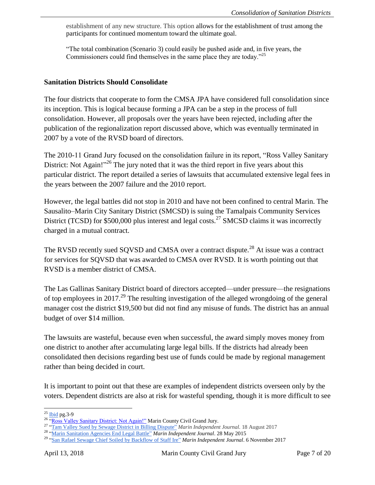establishment of any new structure. This option allows for the establishment of trust among the participants for continued momentum toward the ultimate goal.

"The total combination (Scenario 3) could easily be pushed aside and, in five years, the Commissioners could find themselves in the same place they are today."<sup>25</sup>

#### **Sanitation Districts Should Consolidate**

The four districts that cooperate to form the CMSA JPA have considered full consolidation since its inception. This is logical because forming a JPA can be a step in the process of full consolidation. However, all proposals over the years have been rejected, including after the publication of the regionalization report discussed above, which was eventually terminated in 2007 by a vote of the RVSD board of directors.

The 2010-11 Grand Jury focused on the consolidation failure in its report, "Ross Valley Sanitary District: Not Again!"<sup>26</sup> The jury noted that it was the third report in five years about this particular district. The report detailed a series of lawsuits that accumulated extensive legal fees in the years between the 2007 failure and the 2010 report.

However, the legal battles did not stop in 2010 and have not been confined to central Marin. The Sausalito–Marin City Sanitary District (SMCSD) is suing the Tamalpais Community Services District (TCSD) for \$500,000 plus interest and legal costs.<sup>27</sup> SMCSD claims it was incorrectly charged in a mutual contract.

The RVSD recently sued SQVSD and CMSA over a contract dispute.<sup>28</sup> At issue was a contract for services for SQVSD that was awarded to CMSA over RVSD. It is worth pointing out that RVSD is a member district of CMSA.

The Las Gallinas Sanitary District board of directors accepted—under pressure—the resignations of top employees in 2017.<sup>29</sup> The resulting investigation of the alleged wrongdoing of the general manager cost the district \$19,500 but did not find any misuse of funds. The district has an annual budget of over \$14 million.

The lawsuits are wasteful, because even when successful, the award simply moves money from one district to another after accumulating large legal bills. If the districts had already been consolidated then decisions regarding best use of funds could be made by regional management rather than being decided in court.

It is important to point out that these are examples of independent districts overseen only by the voters. Dependent districts are also at risk for wasteful spending, though it is more difficult to see

 $\overline{a}$ 

<sup>&</sup>lt;sup>25</sup> [Ibid](http://rvsd.org/DocumentCenter/Home/View/106) pg.3-9

<sup>&</sup>lt;sup>26 "</sup>Ross Valley Sanitary District: Not Again!" Marin County Civil Grand Jury.

<sup>27</sup> ["Tam Valley Sued by Sewage District in Billing Dispute"](http://www.marinij.com/government-and-politics/20170816/tam-valley-sued-by-sewage-district-in-billing-dispute) *Marin Independent Journal.* 18 August 2017

<sup>28</sup> ["Marin Sanitation Agencies End Legal Battle"](http://www.marinij.com/article/NO/20150528/NEWS/150529817) *Marin Independent Journal*. 28 May 2015

<sup>29</sup> ["San Rafael Sewage Chief Soiled by Backflow of Staff Ire"](http://www.marinij.com/article/NO/20171022/NEWS/171029937) *Marin Independent Journal*. 6 November 2017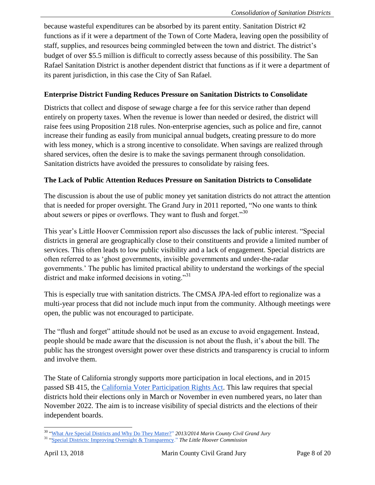because wasteful expenditures can be absorbed by its parent entity. Sanitation District #2 functions as if it were a department of the Town of Corte Madera, leaving open the possibility of staff, supplies, and resources being commingled between the town and district. The district's budget of over \$5.5 million is difficult to correctly assess because of this possibility. The San Rafael Sanitation District is another dependent district that functions as if it were a department of its parent jurisdiction, in this case the City of San Rafael.

#### **Enterprise District Funding Reduces Pressure on Sanitation Districts to Consolidate**

Districts that collect and dispose of sewage charge a fee for this service rather than depend entirely on property taxes. When the revenue is lower than needed or desired, the district will raise fees using Proposition 218 rules. Non-enterprise agencies, such as police and fire, cannot increase their funding as easily from municipal annual budgets, creating pressure to do more with less money, which is a strong incentive to consolidate. When savings are realized through shared services, often the desire is to make the savings permanent through consolidation. Sanitation districts have avoided the pressures to consolidate by raising fees.

#### **The Lack of Public Attention Reduces Pressure on Sanitation Districts to Consolidate**

The discussion is about the use of public money yet sanitation districts do not attract the attention that is needed for proper oversight. The Grand Jury in 2011 reported, "No one wants to think about sewers or pipes or overflows. They want to flush and forget."<sup>30</sup>

This year's Little Hoover Commission report also discusses the lack of public interest. "Special districts in general are geographically close to their constituents and provide a limited number of services. This often leads to low public visibility and a lack of engagement. Special districts are often referred to as 'ghost governments, invisible governments and under-the-radar governments.' The public has limited practical ability to understand the workings of the special district and make informed decisions in voting."<sup>31</sup>

This is especially true with sanitation districts. The CMSA JPA-led effort to regionalize was a multi-year process that did not include much input from the community. Although meetings were open, the public was not encouraged to participate.

The "flush and forget" attitude should not be used as an excuse to avoid engagement. Instead, people should be made aware that the discussion is not about the flush, it's about the bill. The public has the strongest oversight power over these districts and transparency is crucial to inform and involve them.

The State of California strongly supports more participation in local elections, and in 2015 passed SB 415, the [California Voter Participation Rights Act.](https://leginfo.legislature.ca.gov/faces/billTextClient.xhtml?bill_id=201520160SB415) This law requires that special districts hold their elections only in March or November in even numbered years, no later than November 2022. The aim is to increase visibility of special districts and the elections of their independent boards.

 $\overline{a}$ 

<sup>30</sup> ["What Are Special Districts and Why Do They Matter?"](https://www.marincounty.org/~/media/files/departments/gj/reports-responses/2013/spd_master_list_report.pdf) *[2013/2014 Marin County Civil Grand Jury](https://www.marincounty.org/~/media/files/departments/gj/reports-responses/2013/spd_master_list_report.pdf)*

<sup>31</sup> ["Special Districts: Improving Oversight & Transparency."](https://calafco.org/sites/default/files/documents/LHC%20Final%20Report%20on%20Special%20Distircts%20and%20LAFCO%20August%202017.pdf) *[The Little Hoover Commission](https://calafco.org/sites/default/files/documents/LHC%20Final%20Report%20on%20Special%20Distircts%20and%20LAFCO%20August%202017.pdf)*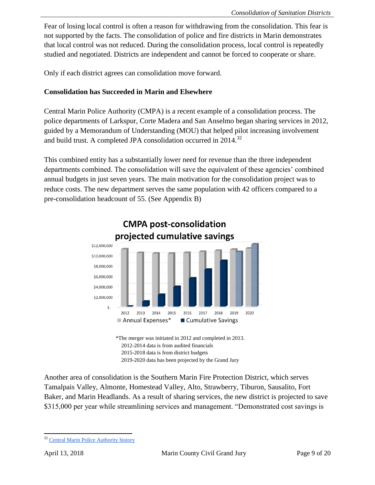Fear of losing local control is often a reason for withdrawing from the consolidation. This fear is not supported by the facts. The consolidation of police and fire districts in Marin demonstrates that local control was not reduced. During the consolidation process, local control is repeatedly studied and negotiated. Districts are independent and cannot be forced to cooperate or share.

Only if each district agrees can consolidation move forward.

#### **Consolidation has Succeeded in Marin and Elsewhere**

Central Marin Police Authority (CMPA) is a recent example of a consolidation process. The police departments of Larkspur, Corte Madera and San Anselmo began sharing services in 2012, guided by a Memorandum of Understanding (MOU) that helped pilot increasing involvement and build trust. A completed JPA consolidation occurred in 2014.<sup>32</sup>

This combined entity has a substantially lower need for revenue than the three independent departments combined. The consolidation will save the equivalent of these agencies' combined annual budgets in just seven years. The main motivation for the consolidation project was to reduce costs. The new department serves the same population with 42 officers compared to a pre-consolidation headcount of 55. (See Appendix B)



\*The merger was initiated in 2012 and completed in 2013. 2012-2014 data is from audited financials 2015-2018 data is from district budgets 2019-2020 data has been projected by the Grand Jury

Another area of consolidation is the Southern Marin Fire Protection District, which serves Tamalpais Valley, Almonte, Homestead Valley, Alto, Strawberry, Tiburon, Sausalito, Fort Baker, and Marin Headlands. As a result of sharing services, the new district is projected to save \$315,000 per year while streamlining services and management. "Demonstrated cost savings is

 <sup>32</sup> [Central Marin Police Authority](http://www.centralmarinpolice.org/27/About) history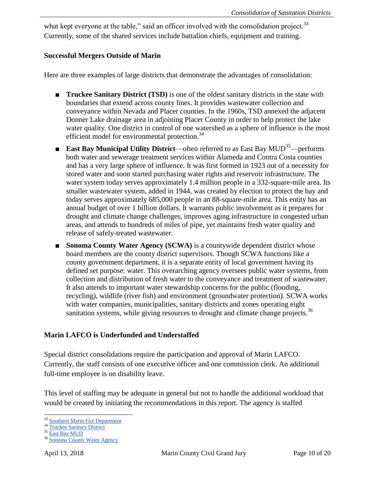what kept everyone at the table," said an officer involved with the consolidation project.<sup>33</sup> Currently, some of the shared services include battalion chiefs, equipment and training.

#### **Successful Mergers Outside of Marin**

Here are three examples of large districts that demonstrate the advantages of consolidation:

- **Truckee Sanitary District (TSD)** is one of the oldest sanitary districts in the state with boundaries that extend across county lines. It provides wastewater collection and conveyance within Nevada and Placer counties. In the 1960s, TSD annexed the adjacent Donner Lake drainage area in adjoining Placer County in order to help protect the lake water quality. One district in control of one watershed as a sphere of influence is the most efficient model for environmental protection.<sup>34</sup>
- **East Bay Municipal Utility District**—often referred to as East Bay MUD<sup>35</sup>—performs both water and sewerage treatment services within Alameda and Contra Costa counties and has a very large sphere of influence. It was first formed in 1923 out of a necessity for stored water and soon started purchasing water rights and reservoir infrastructure. The water system today serves approximately 1.4 million people in a 332-square-mile area. Its smaller wastewater system, added in 1944, was created by election to protect the bay and today serves approximately 685,000 people in an 88-square-mile area. This entity has an annual budget of over 1 billion dollars. It warrants public involvement as it prepares for drought and climate change challenges, improves aging infrastructure in congested urban areas, and attends to hundreds of miles of pipe, yet maintains fresh water quality and release of safely-treated wastewater.
- **Sonoma County Water Agency (SCWA)** is a countywide dependent district whose board members are the county district supervisors. Though SCWA functions like a county government department, it is a separate entity of local government having its defined set purpose: water. This overarching agency oversees public water systems, from collection and distribution of fresh water to the conveyance and treatment of wastewater. It also attends to important water stewardship concerns for the public (flooding, recycling), wildlife (river fish) and environment (groundwater protection). SCWA works with water companies, municipalities, sanitary districts and zones operating eight sanitation systems, while giving resources to drought and climate change projects.<sup>36</sup>

#### **Marin LAFCO is Underfunded and Understaffed**

Special district consolidations require the participation and approval of Marin LAFCO. Currently, the staff consists of one executive officer and one commission clerk. An additional full-time employee is on disability leave.

This level of staffing may be adequate in general but not to handle the additional workload that would be created by initiating the recommendations in this report. The agency is staffed

 <sup>33</sup> [Southern Marin Fire Department](https://southernmarinfire.org/about)

<sup>&</sup>lt;sup>34</sup> [Truckee Sanitary District](http://www.truckeesan.org/home/index.php?site_config_id=109&page_selection=2331&s_page=)

 $35$  [East Bay](http://www.ebmud.com/) MUD

<sup>36</sup> [Sonoma County Water Agency](http://www.scwa.ca.gov/about-us/)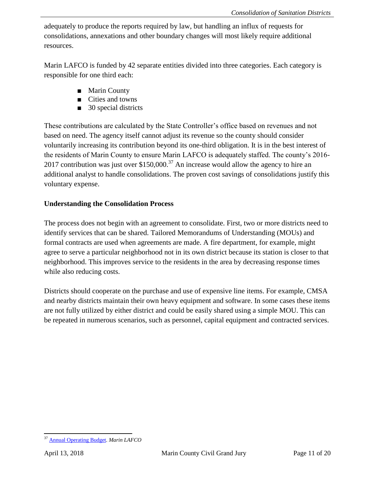adequately to produce the reports required by law, but handling an influx of requests for consolidations, annexations and other boundary changes will most likely require additional resources.

Marin LAFCO is funded by 42 separate entities divided into three categories. Each category is responsible for one third each:

- Marin County
- Cities and towns
- 30 special districts

These contributions are calculated by the State Controller's office based on revenues and not based on need. The agency itself cannot adjust its revenue so the county should consider voluntarily increasing its contribution beyond its one-third obligation. It is in the best interest of the residents of Marin County to ensure Marin LAFCO is adequately staffed. The county's 2016- 2017 contribution was just over  $$150,000<sup>37</sup>$  An increase would allow the agency to hire an additional analyst to handle consolidations. The proven cost savings of consolidations justify this voluntary expense.

#### **Understanding the Consolidation Process**

The process does not begin with an agreement to consolidate. First, two or more districts need to identify services that can be shared. Tailored Memorandums of Understanding (MOUs) and formal contracts are used when agreements are made. A fire department, for example, might agree to serve a particular neighborhood not in its own district because its station is closer to that neighborhood. This improves service to the residents in the area by decreasing response times while also reducing costs.

Districts should cooperate on the purchase and use of expensive line items. For example, CMSA and nearby districts maintain their own heavy equipment and software. In some cases these items are not fully utilized by either district and could be easily shared using a simple MOU. This can be repeated in numerous scenarios, such as personnel, capital equipment and contracted services.

 <sup>37</sup> [Annual Operating Budget.](http://lafco.marin.org/275/Annual-Operating-Budget) *Marin LAFCO*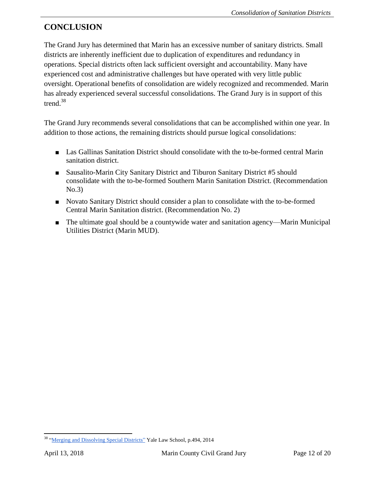# **CONCLUSION**

The Grand Jury has determined that Marin has an excessive number of sanitary districts. Small districts are inherently inefficient due to duplication of expenditures and redundancy in operations. Special districts often lack sufficient oversight and accountability. Many have experienced cost and administrative challenges but have operated with very little public oversight. Operational benefits of consolidation are widely recognized and recommended. Marin has already experienced several successful consolidations. The Grand Jury is in support of this trend.<sup>38</sup>

The Grand Jury recommends several consolidations that can be accomplished within one year. In addition to those actions, the remaining districts should pursue logical consolidations:

- Las Gallinas Sanitation District should consolidate with the to-be-formed central Marin sanitation district.
- Sausalito-Marin City Sanitary District and Tiburon Sanitary District #5 should consolidate with the to-be-formed Southern Marin Sanitation District. (Recommendation No.3)
- Novato Sanitary District should consider a plan to consolidate with the to-be-formed Central Marin Sanitation district. (Recommendation No. 2)
- The ultimate goal should be a countywide water and sanitation agency—Marin Municipal Utilities District (Marin MUD).

<sup>&</sup>lt;sup>38</sup> ["Merging and Dissolving Special Districts"](http://digitalcommons.law.yale.edu/cgi/viewcontent.cgi?article=1391&context=yjreg) Yale Law School, p.494, 2014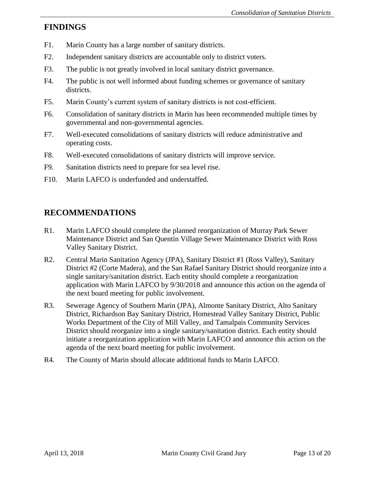#### **FINDINGS**

- F1. Marin County has a large number of sanitary districts.
- F2. Independent sanitary districts are accountable only to district voters.
- F3. The public is not greatly involved in local sanitary district governance.
- F4. The public is not well informed about funding schemes or governance of sanitary districts.
- F5. Marin County's current system of sanitary districts is not cost-efficient.
- F6. Consolidation of sanitary districts in Marin has been recommended multiple times by governmental and non-governmental agencies.
- F7. Well-executed consolidations of sanitary districts will reduce administrative and operating costs.
- F8. Well-executed consolidations of sanitary districts will improve service.
- F9. Sanitation districts need to prepare for sea level rise.
- F10. Marin LAFCO is underfunded and understaffed.

# **RECOMMENDATIONS**

- R1. Marin LAFCO should complete the planned reorganization of Murray Park Sewer Maintenance District and San Quentin Village Sewer Maintenance District with Ross Valley Sanitary District.
- R2. Central Marin Sanitation Agency (JPA), Sanitary District #1 (Ross Valley), Sanitary District #2 (Corte Madera), and the San Rafael Sanitary District should reorganize into a single sanitary/sanitation district. Each entity should complete a reorganization application with Marin LAFCO by 9/30/2018 and announce this action on the agenda of the next board meeting for public involvement.
- R3. Sewerage Agency of Southern Marin (JPA), Almonte Sanitary District, Alto Sanitary District, Richardson Bay Sanitary District, Homestead Valley Sanitary District, Public Works Department of the City of Mill Valley, and Tamalpais Community Services District should reorganize into a single sanitary/sanitation district. Each entity should initiate a reorganization application with Marin LAFCO and announce this action on the agenda of the next board meeting for public involvement.
- R4. The County of Marin should allocate additional funds to Marin LAFCO.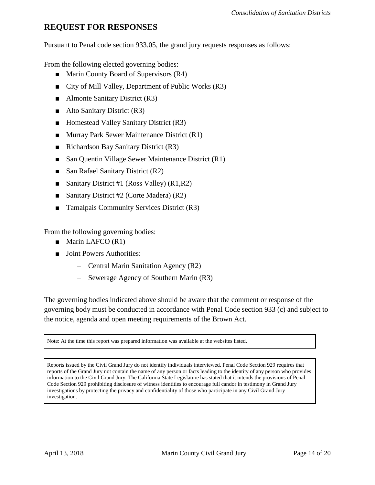# **REQUEST FOR RESPONSES**

Pursuant to Penal code section 933.05, the grand jury requests responses as follows:

From the following elected governing bodies:

- Marin County Board of Supervisors (R4)
- City of Mill Valley, Department of Public Works (R3)
- Almonte Sanitary District (R3)
- Alto Sanitary District (R3)
- Homestead Valley Sanitary District (R3)
- Murray Park Sewer Maintenance District (R1)
- Richardson Bay Sanitary District (R3)
- San Quentin Village Sewer Maintenance District (R1)
- San Rafael Sanitary District (R2)
- Sanitary District #1 (Ross Valley) (R1,R2)
- Sanitary District #2 (Corte Madera) (R2)
- Tamalpais Community Services District (R3)

From the following governing bodies:

- Marin LAFCO (R1)
- Joint Powers Authorities:
	- Central Marin Sanitation Agency (R2)
	- Sewerage Agency of Southern Marin (R3)

The governing bodies indicated above should be aware that the comment or response of the governing body must be conducted in accordance with Penal Code section 933 (c) and subject to the notice, agenda and open meeting requirements of the Brown Act.

Note: At the time this report was prepared information was available at the websites listed.

Reports issued by the Civil Grand Jury do not identify individuals interviewed. Penal Code Section 929 requires that reports of the Grand Jury not contain the name of any person or facts leading to the identity of any person who provides information to the Civil Grand Jury. The California State Legislature has stated that it intends the provisions of Penal Code Section 929 prohibiting disclosure of witness identities to encourage full candor in testimony in Grand Jury investigations by protecting the privacy and confidentiality of those who participate in any Civil Grand Jury investigation.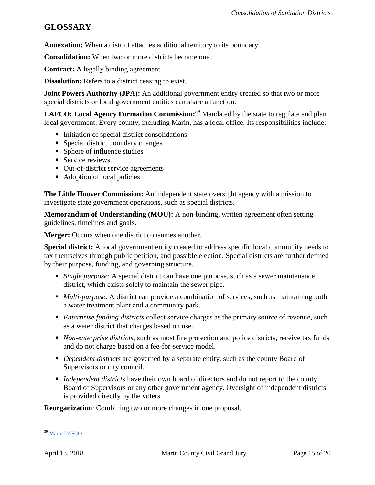# **GLOSSARY**

**Annexation:** When a district attaches additional territory to its boundary.

**Consolidation:** When two or more districts become one.

**Contract: A** legally binding agreement.

**Dissolution:** Refers to a district ceasing to exist.

**Joint Powers Authority (JPA):** An additional government entity created so that two or more special districts or local government entities can share a function.

**LAFCO: Local Agency Formation Commission:** <sup>39</sup> Mandated by the state to regulate and plan local government. Every county, including Marin, has a local office. Its responsibilities include:

- $\blacksquare$  Initiation of special district consolidations
- Special district boundary changes
- Sphere of influence studies
- Service reviews
- Out-of-district service agreements
- Adoption of local policies

**The Little Hoover Commission:** An independent state oversight agency with a mission to investigate state government operations, such as special districts.

**Memorandum of Understanding (MOU):** A non-binding, written agreement often setting guidelines, timelines and goals.

Merger: Occurs when one district consumes another.

**Special district:** A local government entity created to address specific local community needs to tax themselves through public petition, and possible election. Special districts are further defined by their purpose, funding, and governing structure.

- *Single purpose:* A special district can have one purpose, such as a sewer maintenance district, which exists solely to maintain the sewer pipe.
- *Multi-purpose*: A district can provide a combination of services, such as maintaining both a water treatment plant and a community park.
- *Enterprise funding districts* collect service charges as the primary source of revenue, such as a water district that charges based on use.
- *Non-enterprise districts*, such as most fire protection and police districts, receive tax funds and do not charge based on a fee-for-service model.
- *Dependent districts* are governed by a separate entity, such as the county Board of Supervisors or city council.
- *Independent districts* have their own board of directors and do not report to the county Board of Supervisors or any other government agency. Oversight of independent districts is provided directly by the voters.

**Reorganization**: Combining two or more changes in one proposal.

 $\overline{a}$ <sup>39</sup> Marin LAFCO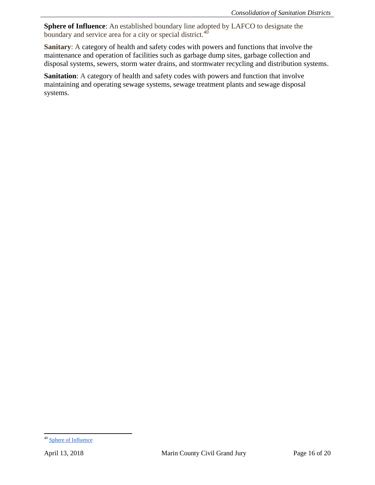**Sphere of Influence**: An established boundary line adopted by LAFCO to designate the boundary and service area for a city or special district.<sup>40</sup>

**Sanitary**: A category of health and safety codes with powers and functions that involve the maintenance and operation of facilities such as garbage dump sites, garbage collection and disposal systems, sewers, storm water drains, and stormwater recycling and distribution systems.

**Sanitation**: A category of health and safety codes with powers and function that involve maintaining and operating sewage systems, sewage treatment plants and sewage disposal systems.

<sup>&</sup>lt;sup>40</sup> [Sphere of Influence](http://www.fresnolafco.org/FAQ.asp#What_is_a_sphere_of_influence)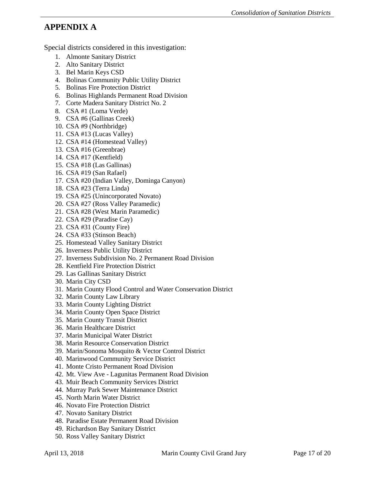# **APPENDIX A**

Special districts considered in this investigation:

- 1. Almonte Sanitary District
- 2. Alto Sanitary District
- 3. Bel Marin Keys CSD
- 4. Bolinas Community Public Utility District
- 5. Bolinas Fire Protection District
- 6. Bolinas Highlands Permanent Road Division
- 7. Corte Madera Sanitary District No. 2
- 8. CSA #1 (Loma Verde)
- 9. CSA #6 (Gallinas Creek)
- 10. CSA #9 (Northbridge)
- 11. CSA #13 (Lucas Valley)
- 12. CSA #14 (Homestead Valley)
- 13. CSA #16 (Greenbrae)
- 14. CSA #17 (Kentfield)
- 15. CSA #18 (Las Gallinas)
- 16. CSA #19 (San Rafael)
- 17. CSA #20 (Indian Valley, Dominga Canyon)
- 18. CSA #23 (Terra Linda)
- 19. CSA #25 (Unincorporated Novato)
- 20. CSA #27 (Ross Valley Paramedic)
- 21. CSA #28 (West Marin Paramedic)
- 22. CSA #29 (Paradise Cay)
- 23. CSA #31 (County Fire)
- 24. CSA #33 (Stinson Beach)
- 25. Homestead Valley Sanitary District
- 26. Inverness Public Utility District
- 27. Inverness Subdivision No. 2 Permanent Road Division
- 28. Kentfield Fire Protection District
- 29. Las Gallinas Sanitary District
- 30. Marin City CSD
- 31. Marin County Flood Control and Water Conservation District
- 32. Marin County Law Library
- 33. Marin County Lighting District
- 34. Marin County Open Space District
- 35. Marin County Transit District
- 36. Marin Healthcare District
- 37. Marin Municipal Water District
- 38. Marin Resource Conservation District
- 39. Marin/Sonoma Mosquito & Vector Control District
- 40. Marinwood Community Service District
- 41. Monte Cristo Permanent Road Division
- 42. Mt. View Ave Lagunitas Permanent Road Division
- 43. Muir Beach Community Services District
- 44. Murray Park Sewer Maintenance District
- 45. North Marin Water District
- 46. Novato Fire Protection District
- 47. Novato Sanitary District
- 48. Paradise Estate Permanent Road Division
- 49. Richardson Bay Sanitary District
- 50. Ross Valley Sanitary District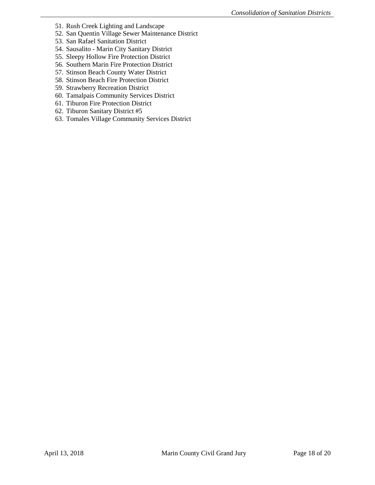- 51. Rush Creek Lighting and Landscape
- 52. San Quentin Village Sewer Maintenance District
- 53. San Rafael Sanitation District
- 54. Sausalito Marin City Sanitary District
- 55. Sleepy Hollow Fire Protection District
- 56. Southern Marin Fire Protection District
- 57. Stinson Beach County Water District
- 58. Stinson Beach Fire Protection District
- 59. Strawberry Recreation District
- 60. Tamalpais Community Services District
- 61. Tiburon Fire Protection District
- 62. Tiburon Sanitary District #5
- 63. Tomales Village Community Services District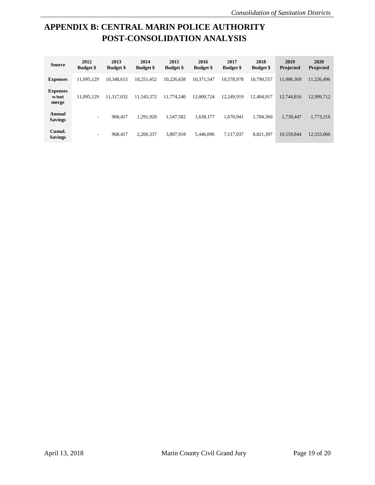# **APPENDIX B: CENTRAL MARIN POLICE AUTHORITY POST-CONSOLIDATION ANALYSIS**

| <b>Source</b>                     | 2012<br><b>Budget</b> \$ | 2013<br><b>Budget</b> \$ | 2014<br><b>Budget \$</b> | 2015<br><b>Budget \$</b> | 2016<br><b>Budget</b> \$ | 2017<br><b>Budget</b> \$ | 2018<br><b>Budget</b> \$ | 2019<br><b>Projected</b> | 2020<br>Projected |
|-----------------------------------|--------------------------|--------------------------|--------------------------|--------------------------|--------------------------|--------------------------|--------------------------|--------------------------|-------------------|
| <b>Expenses</b>                   | 11.095.129               | 10.348.615               | 10.251.452               | 10.226.658               | 10.371.547               | 10.578.978               | 10,790,557               | 11,006,369               | 11,226,496        |
| <b>Expenses</b><br>w/out<br>merge | 11.095.129               | 11.317.032               | 11.543.372               | 11.774.240               | 12.009.724               | 12.249.919               | 12.494.917               | 12,744,816               | 12,999,712        |
| Annual<br><b>Savings</b>          | $\sim$                   | 968.417                  | 1.291.920                | 1.547.582                | 1.638.177                | 1.670.941                | 1.704.360                | 1.738.447                | 1,773,216         |
| Cumul.<br><b>Savings</b>          | ۰                        | 968.417                  | 2.260.337                | 3.807.918                | 5.446.096                | 7.117.037                | 8.821.397                | 10,559,844               | 12,333,060        |